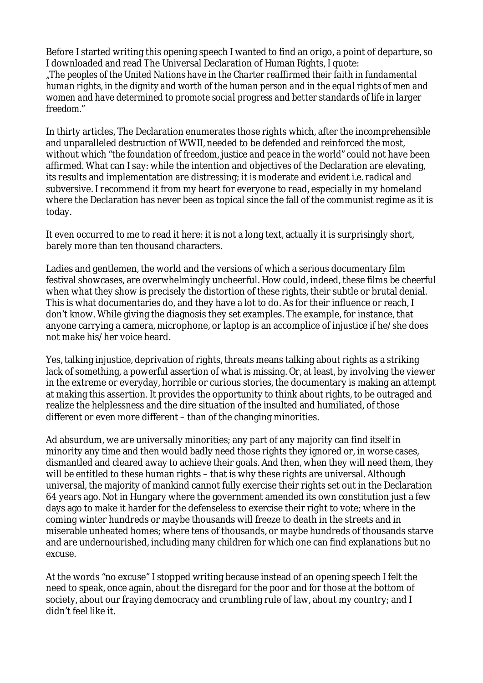Before I started writing this opening speech I wanted to find an origo, a point of departure, so I downloaded and read The Universal Declaration of Human Rights, I quote: *"The peoples of the United Nations have in the Charter reaffirmed their faith in fundamental human rights, in the dignity and worth of the human person and in the equal rights of men and women and have determined to promote social progress and better standards of life in larger*

*freedom."*

In thirty articles, The Declaration enumerates those rights which, after the incomprehensible and unparalleled destruction of WWII, needed to be defended and reinforced the most, without which *"the foundation of freedom, justice and peace in the world"* could not have been affirmed. What can I say: while the intention and objectives of the Declaration are elevating, its results and implementation are distressing; it is moderate and evident i.e. radical and subversive. I recommend it from my heart for everyone to read, especially in my homeland where the Declaration has never been as topical since the fall of the communist regime as it is today.

It even occurred to me to read it here: it is not a long text, actually it is surprisingly short, barely more than ten thousand characters.

Ladies and gentlemen, the world and the versions of which a serious documentary film festival showcases, are overwhelmingly uncheerful. How could, indeed, these films be cheerful when what they show is precisely the distortion of these rights, their subtle or brutal denial. This is what documentaries do, and they have a lot to do. As for their influence or reach, I don't know. While giving the diagnosis they set examples. The example, for instance, that anyone carrying a camera, microphone, or laptop is an accomplice of injustice if he/she does not make his/her voice heard.

Yes, talking injustice, deprivation of rights, threats means talking about rights as a striking lack of something, a powerful assertion of what is missing. Or, at least, by involving the viewer in the extreme or everyday, horrible or curious stories, the documentary is making an attempt at making this assertion. It provides the opportunity to think about rights, to be outraged and realize the helplessness and the dire situation of the insulted and humiliated, of those different or even more different – than of the changing minorities.

Ad absurdum, we are universally minorities; any part of any majority can find itself in minority any time and then would badly need those rights they ignored or, in worse cases, dismantled and cleared away to achieve their goals. And then, when they will need them, they will be entitled to these human rights – that is why these rights are universal. Although universal, the majority of mankind cannot fully exercise their rights set out in the Declaration 64 years ago. Not in Hungary where the government amended its own constitution just a few days ago to make it harder for the defenseless to exercise their right to vote; where in the coming winter hundreds or maybe thousands will freeze to death in the streets and in miserable unheated homes; where tens of thousands, or maybe hundreds of thousands starve and are undernourished, including many children for which one can find explanations but no excuse.

At the words "no excuse" I stopped writing because instead of an opening speech I felt the need to speak, once again, about the disregard for the poor and for those at the bottom of society, about our fraying democracy and crumbling rule of law, about my country; and I didn't feel like it.